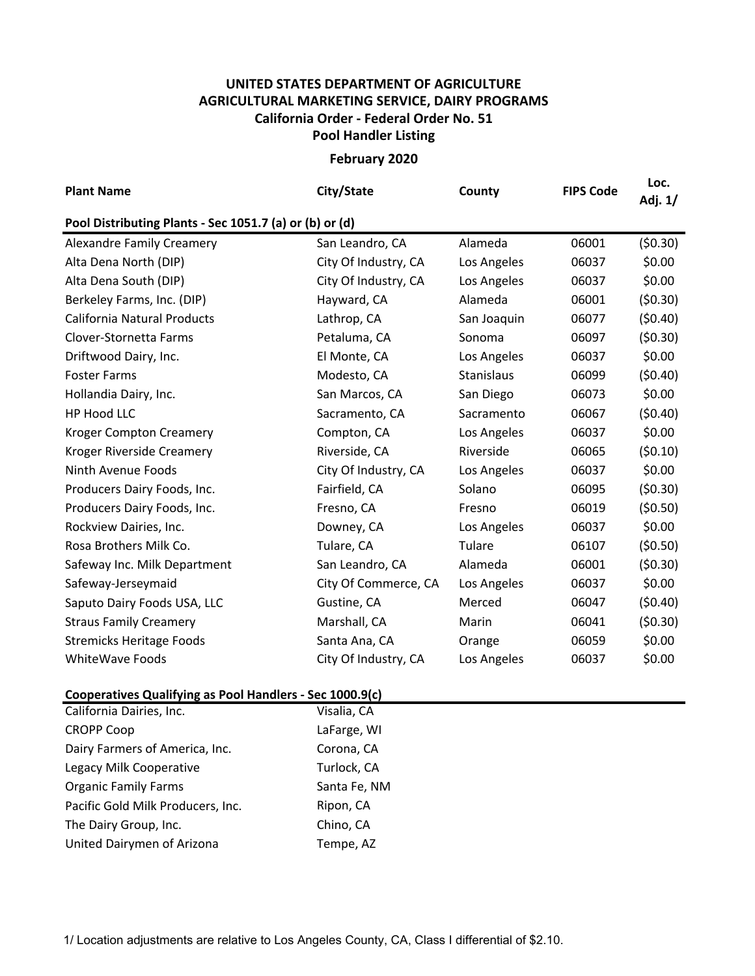## **UNITED STATES DEPARTMENT OF AGRICULTURE AGRICULTURAL MARKETING SERVICE, DAIRY PROGRAMS Pool Handler Listing California Order ‐ Federal Order No. 51**

## **February 2020**

| <b>Plant Name</b>                                       | City/State           | County      | <b>FIPS Code</b> | Loc.<br>Adj. 1/ |  |  |  |  |  |
|---------------------------------------------------------|----------------------|-------------|------------------|-----------------|--|--|--|--|--|
| Pool Distributing Plants - Sec 1051.7 (a) or (b) or (d) |                      |             |                  |                 |  |  |  |  |  |
| <b>Alexandre Family Creamery</b>                        | San Leandro, CA      | Alameda     | 06001            | (50.30)         |  |  |  |  |  |
| Alta Dena North (DIP)                                   | City Of Industry, CA | Los Angeles | 06037            | \$0.00          |  |  |  |  |  |
| Alta Dena South (DIP)                                   | City Of Industry, CA | Los Angeles | 06037            | \$0.00          |  |  |  |  |  |
| Berkeley Farms, Inc. (DIP)                              | Hayward, CA          | Alameda     | 06001            | (50.30)         |  |  |  |  |  |
| <b>California Natural Products</b>                      | Lathrop, CA          | San Joaquin | 06077            | (50.40)         |  |  |  |  |  |
| Clover-Stornetta Farms                                  | Petaluma, CA         | Sonoma      | 06097            | (50.30)         |  |  |  |  |  |
| Driftwood Dairy, Inc.                                   | El Monte, CA         | Los Angeles | 06037            | \$0.00          |  |  |  |  |  |
| <b>Foster Farms</b>                                     | Modesto, CA          | Stanislaus  | 06099            | (50.40)         |  |  |  |  |  |
| Hollandia Dairy, Inc.                                   | San Marcos, CA       | San Diego   | 06073            | \$0.00          |  |  |  |  |  |
| HP Hood LLC                                             | Sacramento, CA       | Sacramento  | 06067            | (50.40)         |  |  |  |  |  |
| <b>Kroger Compton Creamery</b>                          | Compton, CA          | Los Angeles | 06037            | \$0.00          |  |  |  |  |  |
| Kroger Riverside Creamery                               | Riverside, CA        | Riverside   | 06065            | (50.10)         |  |  |  |  |  |
| Ninth Avenue Foods                                      | City Of Industry, CA | Los Angeles | 06037            | \$0.00          |  |  |  |  |  |
| Producers Dairy Foods, Inc.                             | Fairfield, CA        | Solano      | 06095            | (50.30)         |  |  |  |  |  |
| Producers Dairy Foods, Inc.                             | Fresno, CA           | Fresno      | 06019            | (50.50)         |  |  |  |  |  |
| Rockview Dairies, Inc.                                  | Downey, CA           | Los Angeles | 06037            | \$0.00          |  |  |  |  |  |
| Rosa Brothers Milk Co.                                  | Tulare, CA           | Tulare      | 06107            | (50.50)         |  |  |  |  |  |
| Safeway Inc. Milk Department                            | San Leandro, CA      | Alameda     | 06001            | (50.30)         |  |  |  |  |  |
| Safeway-Jerseymaid                                      | City Of Commerce, CA | Los Angeles | 06037            | \$0.00          |  |  |  |  |  |
| Saputo Dairy Foods USA, LLC                             | Gustine, CA          | Merced      | 06047            | (50.40)         |  |  |  |  |  |
| <b>Straus Family Creamery</b>                           | Marshall, CA         | Marin       | 06041            | (50.30)         |  |  |  |  |  |
| <b>Stremicks Heritage Foods</b>                         | Santa Ana, CA        | Orange      | 06059            | \$0.00          |  |  |  |  |  |
| <b>WhiteWave Foods</b>                                  | City Of Industry, CA | Los Angeles | 06037            | \$0.00          |  |  |  |  |  |

## **Cooperatives Qualifying as Pool Handlers ‐ Sec 1000.9(c)**

| California Dairies, Inc.          | Visalia, CA  |
|-----------------------------------|--------------|
| <b>CROPP Coop</b>                 | LaFarge, WI  |
| Dairy Farmers of America, Inc.    | Corona, CA   |
| Legacy Milk Cooperative           | Turlock, CA  |
| <b>Organic Family Farms</b>       | Santa Fe, NM |
| Pacific Gold Milk Producers, Inc. | Ripon, CA    |
| The Dairy Group, Inc.             | Chino, CA    |
| United Dairymen of Arizona        | Tempe, AZ    |